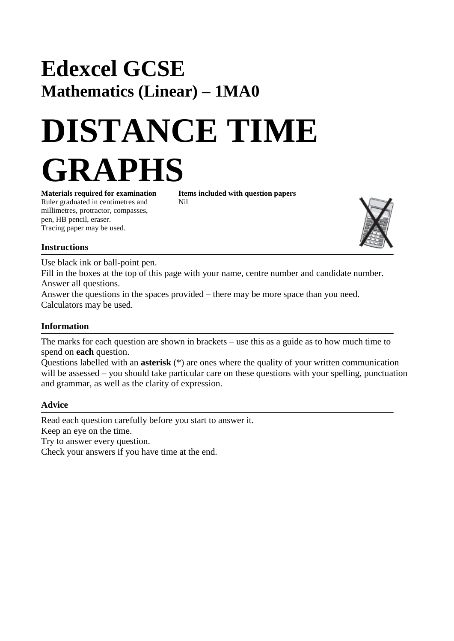# **Edexcel GCSE Mathematics (Linear) – 1MA0**

# **DISTANCE TIME GRAPHS**

**Materials required for examination Items included with question papers** Ruler graduated in centimetres and Nil millimetres, protractor, compasses, pen, HB pencil, eraser. Tracing paper may be used.



## **Instructions**

Use black ink or ball-point pen.

Fill in the boxes at the top of this page with your name, centre number and candidate number. Answer all questions.

Answer the questions in the spaces provided – there may be more space than you need. Calculators may be used.

### **Information**

The marks for each question are shown in brackets – use this as a guide as to how much time to spend on **each** question.

Questions labelled with an **asterisk** (\*) are ones where the quality of your written communication will be assessed – you should take particular care on these questions with your spelling, punctuation and grammar, as well as the clarity of expression.

### **Advice**

Read each question carefully before you start to answer it. Keep an eye on the time. Try to answer every question.

Check your answers if you have time at the end.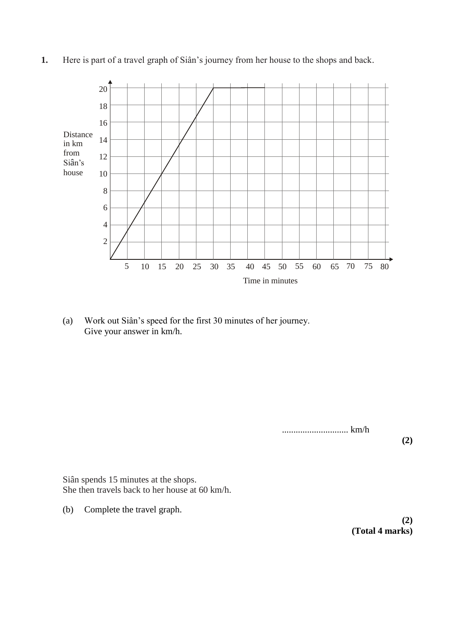

**1.** Here is part of a travel graph of Siân's journey from her house to the shops and back.

(a) Work out Siân's speed for the first 30 minutes of her journey. Give your answer in km/h.

............................. km/h

**(2)**

Siân spends 15 minutes at the shops. She then travels back to her house at 60 km/h.

(b) Complete the travel graph.

**(2) (Total 4 marks)**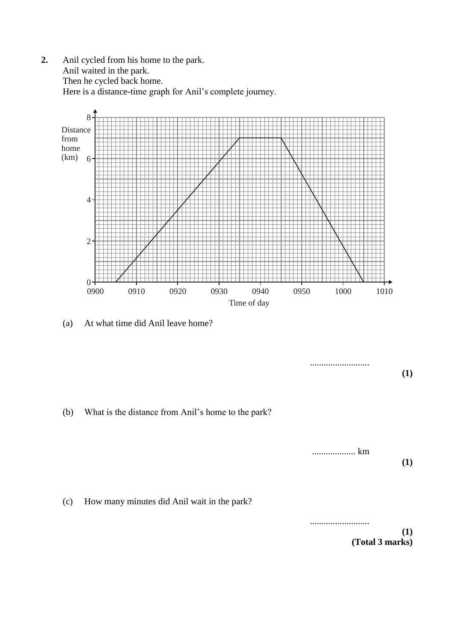**2.** Anil cycled from his home to the park. Anil waited in the park. Then he cycled back home. Here is a distance-time graph for Anil's complete journey.



(a) At what time did Anil leave home?

**(1)** (b) What is the distance from Anil's home to the park? ................... km **(1)** (c) How many minutes did Anil wait in the park? .......................... **(1) (Total 3 marks)**

..........................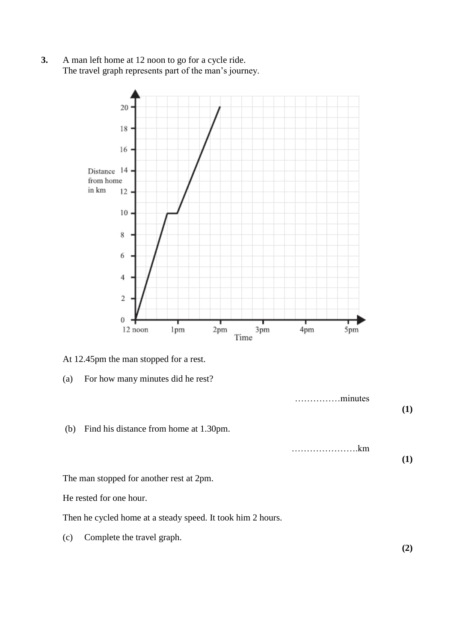**3.** A man left home at 12 noon to go for a cycle ride. The travel graph represents part of the man's journey.



- At 12.45pm the man stopped for a rest.
- (a) For how many minutes did he rest?

……………minutes **(1)** (b) Find his distance from home at 1.30pm. ………………….km **(1)**

The man stopped for another rest at 2pm.

He rested for one hour.

Then he cycled home at a steady speed. It took him 2 hours.

(c) Complete the travel graph.

**(2)**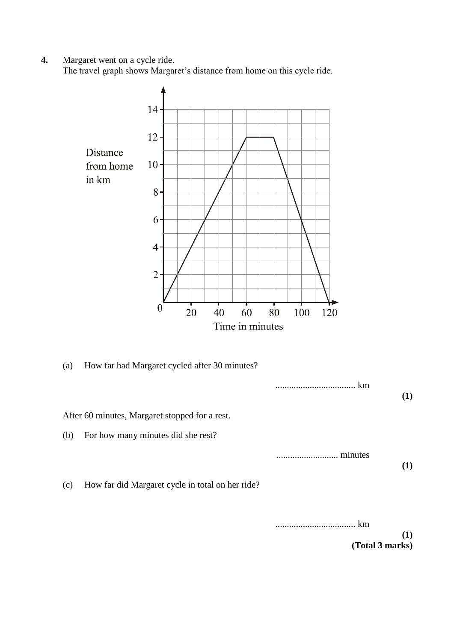**4.** Margaret went on a cycle ride.

The travel graph shows Margaret's distance from home on this cycle ride.



**(Total 3 marks)**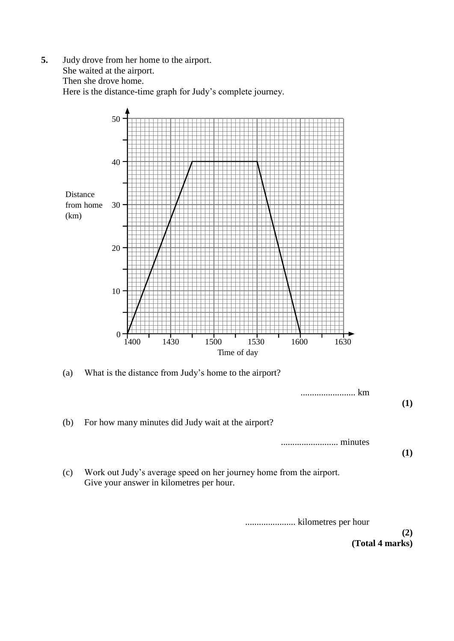**5.** Judy drove from her home to the airport. She waited at the airport. Then she drove home. Here is the distance-time graph for Judy's complete journey.



......................... minutes **(1)**

(c) Work out Judy's average speed on her journey home from the airport. Give your answer in kilometres per hour.

...................... kilometres per hour

**(2) (Total 4 marks)**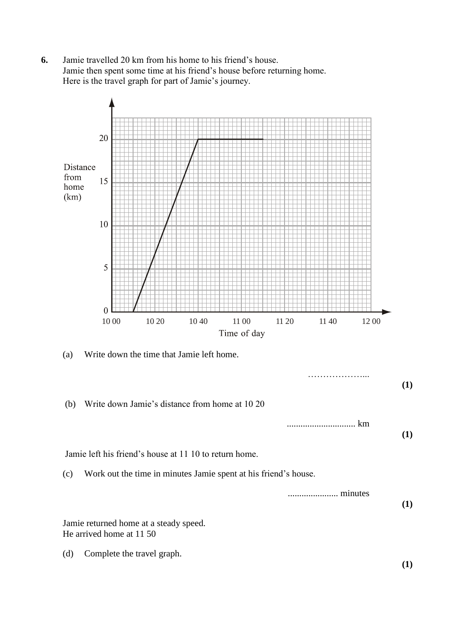**6.** Jamie travelled 20 km from his home to his friend's house. Jamie then spent some time at his friend's house before returning home. Here is the travel graph for part of Jamie's journey.

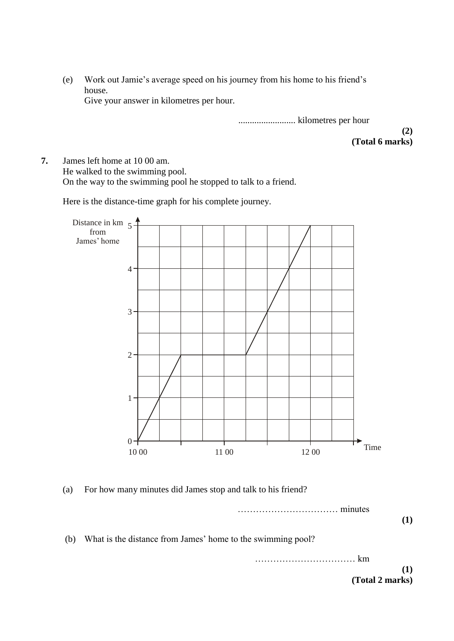(e) Work out Jamie's average speed on his journey from his home to his friend's house. Give your answer in kilometres per hour.

......................... kilometres per hour

**(2) (Total 6 marks)**

**7.** James left home at 10 00 am. He walked to the swimming pool. On the way to the swimming pool he stopped to talk to a friend.

Here is the distance-time graph for his complete journey.



(a) For how many minutes did James stop and talk to his friend?

…………………………… minutes **(1)** (b) What is the distance from James' home to the swimming pool? …………………………… km **(1)**

**(Total 2 marks)**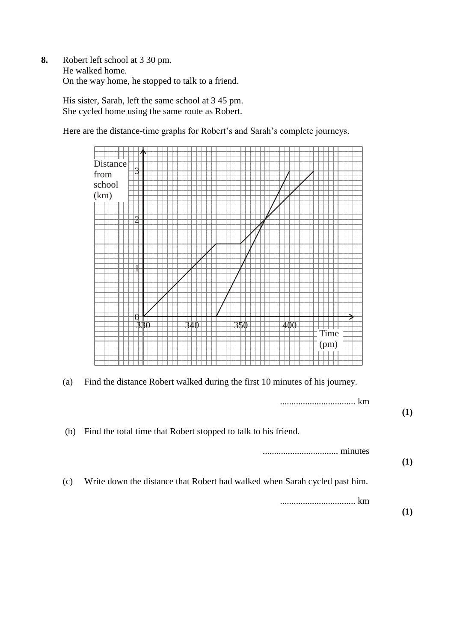**8.** Robert left school at 3 30 pm. He walked home. On the way home, he stopped to talk to a friend.

> His sister, Sarah, left the same school at 3 45 pm. She cycled home using the same route as Robert.

Here are the distance-time graphs for Robert's and Sarah's complete journeys.



(a) Find the distance Robert walked during the first 10 minutes of his journey.

|     | km                                                                         |  |
|-----|----------------------------------------------------------------------------|--|
| (b) | Find the total time that Robert stopped to talk to his friend.             |  |
|     | minutes<br>                                                                |  |
| (c) | Write down the distance that Robert had walked when Sarah cycled past him. |  |
|     | km<br>                                                                     |  |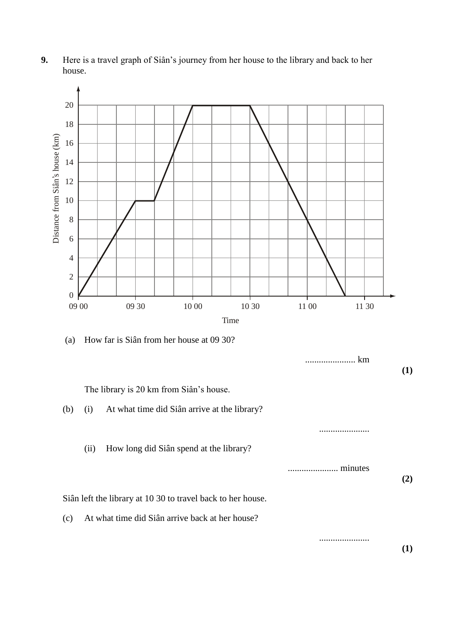

**9.** Here is a travel graph of Siân's journey from her house to the library and back to her house.

(a) How far is Siân from her house at 09 30?

|                                                             |      |                                                 | km      | (1) |
|-------------------------------------------------------------|------|-------------------------------------------------|---------|-----|
|                                                             |      | The library is 20 km from Siân's house.         |         |     |
| (b)                                                         | (i)  | At what time did Siân arrive at the library?    |         |     |
|                                                             |      |                                                 |         |     |
|                                                             | (ii) | How long did Siân spend at the library?         |         |     |
|                                                             |      |                                                 | minutes | (2) |
| Siân left the library at 10 30 to travel back to her house. |      |                                                 |         |     |
| (c)                                                         |      | At what time did Siân arrive back at her house? |         |     |
|                                                             |      |                                                 |         | (1) |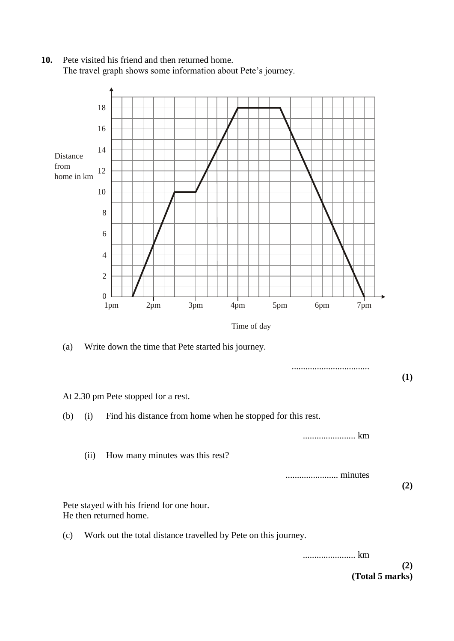**10.** Pete visited his friend and then returned home. The travel graph shows some information about Pete's journey.



....................... km

....................... minutes

**(2)**

Pete stayed with his friend for one hour. He then returned home.

(ii) How many minutes was this rest?

(c) Work out the total distance travelled by Pete on this journey.

....................... km

**(2) (Total 5 marks)**